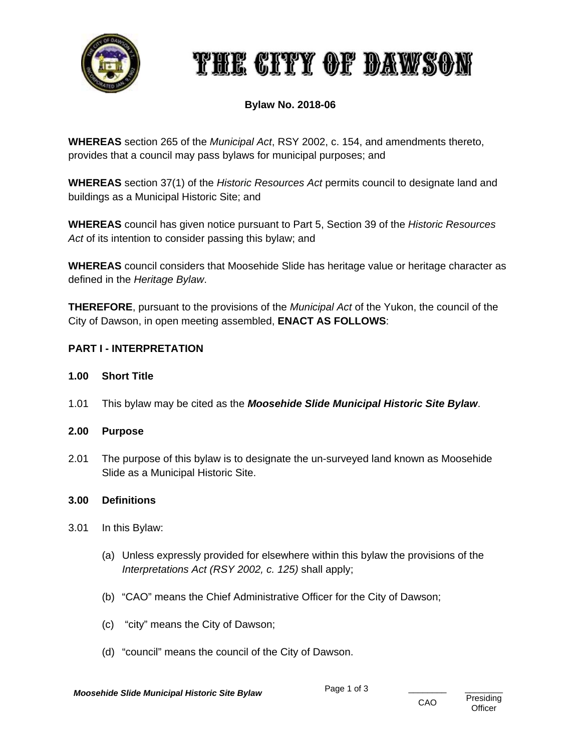

# THE CITY OF DAWSON

# **Bylaw No. 2018-06**

**WHEREAS** section 265 of the *Municipal Act*, RSY 2002, c. 154, and amendments thereto, provides that a council may pass bylaws for municipal purposes; and

**WHEREAS** section 37(1) of the *Historic Resources Act* permits council to designate land and buildings as a Municipal Historic Site; and

**WHEREAS** council has given notice pursuant to Part 5, Section 39 of the *Historic Resources Act* of its intention to consider passing this bylaw; and

**WHEREAS** council considers that Moosehide Slide has heritage value or heritage character as defined in the *Heritage Bylaw*.

**THEREFORE**, pursuant to the provisions of the *Municipal Act* of the Yukon, the council of the City of Dawson, in open meeting assembled, **ENACT AS FOLLOWS**:

# **PART I - INTERPRETATION**

- **1.00 Short Title**
- 1.01 This bylaw may be cited as the *Moosehide Slide Municipal Historic Site Bylaw*.

# **2.00 Purpose**

2.01 The purpose of this bylaw is to designate the un-surveyed land known as Moosehide Slide as a Municipal Historic Site.

#### **3.00 Definitions**

- 3.01 In this Bylaw:
	- (a) Unless expressly provided for elsewhere within this bylaw the provisions of the *Interpretations Act (RSY 2002, c. 125)* shall apply;
	- (b) "CAO" means the Chief Administrative Officer for the City of Dawson;
	- (c) "city" means the City of Dawson;
	- (d) "council" means the council of the City of Dawson.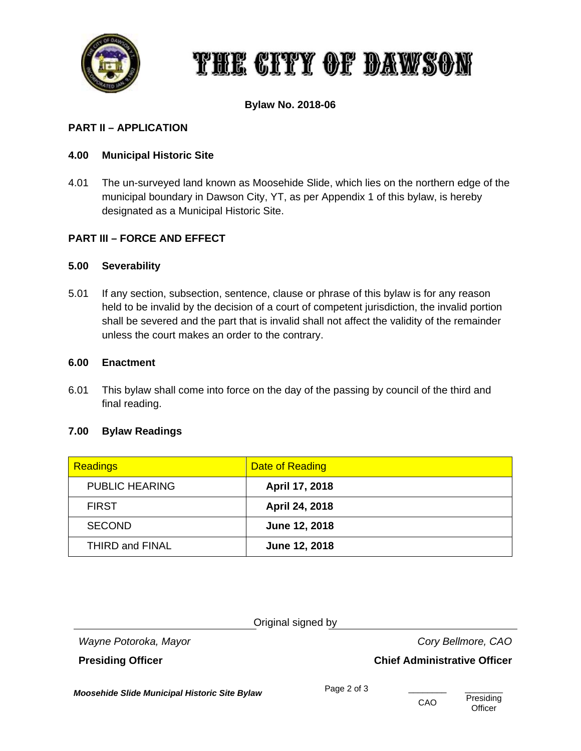

# THE CITY OF DAWSON

# **Bylaw No. 2018-06**

# **PART II – APPLICATION**

### **4.00 Municipal Historic Site**

4.01 The un-surveyed land known as Moosehide Slide, which lies on the northern edge of the municipal boundary in Dawson City, YT, as per Appendix 1 of this bylaw, is hereby designated as a Municipal Historic Site.

#### **PART III – FORCE AND EFFECT**

#### **5.00 Severability**

5.01 If any section, subsection, sentence, clause or phrase of this bylaw is for any reason held to be invalid by the decision of a court of competent jurisdiction, the invalid portion shall be severed and the part that is invalid shall not affect the validity of the remainder unless the court makes an order to the contrary.

#### **6.00 Enactment**

6.01 This bylaw shall come into force on the day of the passing by council of the third and final reading.

# **7.00 Bylaw Readings**

| <b>Readings</b>        | Date of Reading |
|------------------------|-----------------|
| <b>PUBLIC HEARING</b>  | April 17, 2018  |
| <b>FIRST</b>           | April 24, 2018  |
| <b>SECOND</b>          | June 12, 2018   |
| <b>THIRD and FINAL</b> | June 12, 2018   |

*Wayne Potoroka, Mayor**Cory Bellmore, CAO*

**Presiding Officer Chief Administrative Officer** 

*Moosehide Slide Municipal Historic Site Bylaw* Page 2 of 3 \_\_\_\_\_\_\_\_\_\_\_\_\_\_\_\_\_\_\_\_\_\_<br>CAO